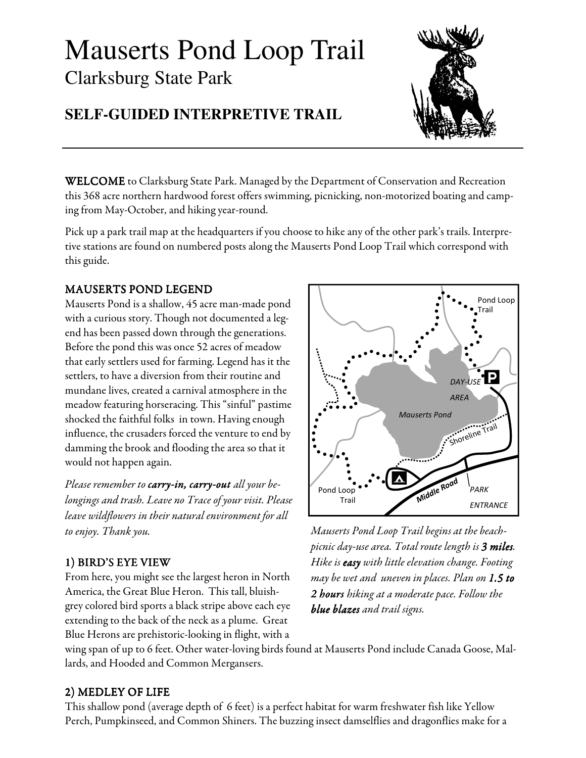# Mauserts Pond Loop Trail Clarksburg State Park



# **SELF-GUIDED INTERPRETIVE TRAIL**

**WELCOME** to Clarksburg State Park. Managed by the Department of Conservation and Recreation this 368 acre northern hardwood forest offers swimming, picnicking, non-motorized boating and camping from May-October, and hiking year-round.

Pick up a park trail map at the headquarters if you choose to hike any of the other park's trails. Interpretive stations are found on numbered posts along the Mauserts Pond Loop Trail which correspond with this guide.

#### MAUSERTS POND LEGEND LEGEND

Mauserts Pond is a shallow, 45 acre man-made pond with a curious story. Though not documented a legend has been passed down through the generations. Before the pond this was once 52 acres of meadow that early settlers used for farming. Legend has it the settlers, to have a diversion from their routine and mundane lives, created a carnival atmosphere in the meadow featuring horseracing. This "sinful" pastime shocked the faithful folks in town. Having enough influence, the crusaders forced the venture to end by damming the brook and flooding the area so that it would not happen again.

Please remember to **carry-in, carry-out** all your belongings and trash. Leave no Trace of your visit. Please leave wildflowers in their natural environment for all to enjoy. Thank you.

#### 1) BIRD'S EYE VIEW

From here, you might see the largest heron in North America, the Great Blue Heron. This tall, bluishgrey colored bird sports a black stripe above each eye extending to the back of the neck as a plume. Great Blue Herons are prehistoric-looking in flight, with a



Mauserts Pond Loop Trail begins at the beachpicnic day-use area. Total route length is 3 miles. Hike is easy with little elevation change. Footing may be wet and uneven in places. Plan on 1.5 to 2 hours hiking at a moderate pace. Follow the blue blazes and trail signs.

wing span of up to 6 feet. Other water-loving birds found at Mauserts Pond include Canada Goose, Mallards, and Hooded and Common Mergansers.

#### 2) MEDLEY OF LIFE

This shallow pond (average depth of 6 feet) is a perfect habitat for warm freshwater fish like Yellow Perch, Pumpkinseed, and Common Shiners. The buzzing insect damselflies and dragonflies make for a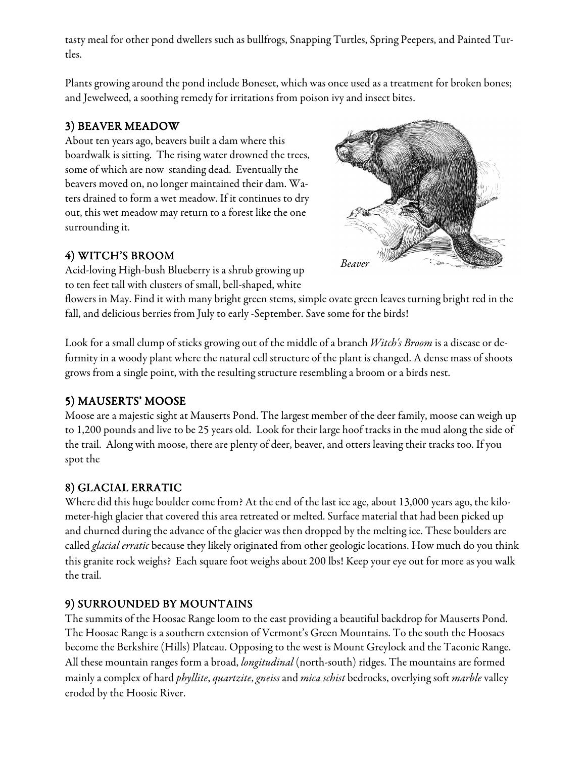tasty meal for other pond dwellers such as bullfrogs, Snapping Turtles, Spring Peepers, and Painted Turtles.

Plants growing around the pond include Boneset, which was once used as a treatment for broken bones; and Jewelweed, a soothing remedy for irritations from poison ivy and insect bites.

# 3) BEAVER MEADOW

About ten years ago, beavers built a dam where this boardwalk is sitting. The rising water drowned the trees, some of which are now standing dead. Eventually the beavers moved on, no longer maintained their dam. Waters drained to form a wet meadow. If it continues to dry out, this wet meadow may return to a forest like the one surrounding it.

# 4) WITCH'S BROOM

Acid-loving High-bush Blueberry is a shrub growing up to ten feet tall with clusters of small, bell-shaped, white



flowers in May. Find it with many bright green stems, simple ovate green leaves turning bright red in the fall, and delicious berries from July to early -September. Save some for the birds!

Look for a small clump of sticks growing out of the middle of a branch Witch's Broom is a disease or deformity in a woody plant where the natural cell structure of the plant is changed. A dense mass of shoots grows from a single point, with the resulting structure resembling a broom or a birds nest.

# 5) MAUSERTS' MOOSE

Moose are a majestic sight at Mauserts Pond. The largest member of the deer family, moose can weigh up to 1,200 pounds and live to be 25 years old. Look for their large hoof tracks in the mud along the side of the trail. Along with moose, there are plenty of deer, beaver, and otters leaving their tracks too. If you spot the

# 8) GLACIAL ERRATIC

Where did this huge boulder come from? At the end of the last ice age, about 13,000 years ago, the kilometer-high glacier that covered this area retreated or melted. Surface material that had been picked up and churned during the advance of the glacier was then dropped by the melting ice. These boulders are called *glacial erratic* because they likely originated from other geologic locations. How much do you think this granite rock weighs? Each square foot weighs about 200 lbs! Keep your eye out for more as you walk the trail.

# 9) SURROUNDED BY MOUNTAINS

The summits of the Hoosac Range loom to the east providing a beautiful backdrop for Mauserts Pond. The Hoosac Range is a southern extension of Vermont's Green Mountains. To the south the Hoosacs become the Berkshire (Hills) Plateau. Opposing to the west is Mount Greylock and the Taconic Range. All these mountain ranges form a broad, *longitudinal* (north-south) ridges. The mountains are formed mainly a complex of hard *phyllite, quartzite, gneiss* and *mica schist* bedrocks, overlying soft *marble* valley eroded by the Hoosic River.